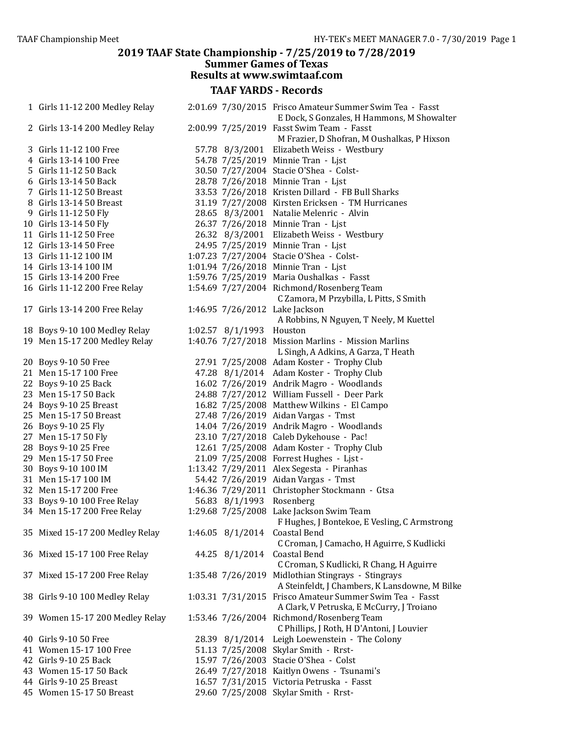| 1 Girls 11-12 200 Medley Relay                   |                          | 2:01.69 7/30/2015 Frisco Amateur Summer Swim Tea - Fasst |
|--------------------------------------------------|--------------------------|----------------------------------------------------------|
|                                                  |                          | E Dock, S Gonzales, H Hammons, M Showalter               |
| 2 Girls 13-14 200 Medley Relay                   |                          | 2:00.99 7/25/2019 Fasst Swim Team - Fasst                |
|                                                  |                          | M Frazier, D Shofran, M Oushalkas, P Hixson              |
| 3 Girls 11-12 100 Free<br>4 Girls 13-14 100 Free |                          | 57.78 8/3/2001 Elizabeth Weiss - Westbury                |
|                                                  |                          | 54.78 7/25/2019 Minnie Tran - Ljst                       |
| 5 Girls 11-12 50 Back                            |                          | 30.50 7/27/2004 Stacie O'Shea - Colst-                   |
| 6 Girls 13-14 50 Back                            |                          | 28.78 7/26/2018 Minnie Tran - Ljst                       |
| 7 Girls 11-12 50 Breast                          |                          | 33.53 7/26/2018 Kristen Dillard - FB Bull Sharks         |
| 8 Girls 13-14 50 Breast                          |                          | 31.19 7/27/2008 Kirsten Ericksen - TM Hurricanes         |
| 9 Girls 11-12 50 Fly                             |                          | 28.65 8/3/2001 Natalie Melenric - Alvin                  |
| 10 Girls 13-14 50 Fly                            |                          | 26.37 7/26/2018 Minnie Tran - Ljst                       |
| 11 Girls 11-12 50 Free                           |                          | 26.32 8/3/2001 Elizabeth Weiss - Westbury                |
| 12 Girls 13-14 50 Free                           |                          | 24.95 7/25/2019 Minnie Tran - Ljst                       |
| 13 Girls 11-12 100 IM                            |                          | 1:07.23 7/27/2004 Stacie O'Shea - Colst-                 |
| 14 Girls 13-14 100 IM                            |                          | 1:01.94 7/26/2018 Minnie Tran - Ljst                     |
| 15 Girls 13-14 200 Free                          |                          | 1:59.76 7/25/2019 Maria Oushalkas - Fasst                |
| 16 Girls 11-12 200 Free Relay                    |                          | 1:54.69 7/27/2004 Richmond/Rosenberg Team                |
|                                                  |                          | C Zamora, M Przybilla, L Pitts, S Smith                  |
| 17 Girls 13-14 200 Free Relay                    |                          | 1:46.95 7/26/2012 Lake Jackson                           |
|                                                  |                          | A Robbins, N Nguyen, T Neely, M Kuettel                  |
| 18 Boys 9-10 100 Medley Relay                    | 1:02.57 8/1/1993 Houston |                                                          |
| 19 Men 15-17 200 Medley Relay                    |                          | 1:40.76 7/27/2018 Mission Marlins - Mission Marlins      |
|                                                  |                          | L Singh, A Adkins, A Garza, T Heath                      |
| 20 Boys 9-10 50 Free                             |                          | 27.91 7/25/2008 Adam Koster - Trophy Club                |
| 21 Men 15-17 100 Free                            |                          | 47.28 8/1/2014 Adam Koster - Trophy Club                 |
| 22 Boys 9-10 25 Back                             |                          | 16.02 7/26/2019 Andrik Magro - Woodlands                 |
| 23 Men 15-17 50 Back                             |                          | 24.88 7/27/2012 William Fussell - Deer Park              |
| 24 Boys 9-10 25 Breast                           |                          | 16.82 7/25/2008 Matthew Wilkins - El Campo               |
| 25 Men 15-17 50 Breast                           |                          | 27.48 7/26/2019 Aidan Vargas - Tmst                      |
| 26 Boys 9-10 25 Fly                              |                          | 14.04 7/26/2019 Andrik Magro - Woodlands                 |
| 27 Men 15-17 50 Fly                              |                          | 23.10 7/27/2018 Caleb Dykehouse - Pac!                   |
| 28 Boys 9-10 25 Free                             |                          | 12.61 7/25/2008 Adam Koster - Trophy Club                |
| 29 Men 15-17 50 Free                             |                          | 21.09 7/25/2008 Forrest Hughes - Ljst -                  |
| 30 Boys 9-10 100 IM                              |                          | 1:13.42 7/29/2011 Alex Segesta - Piranhas                |
| 31 Men 15-17 100 IM                              |                          | 54.42 7/26/2019 Aidan Vargas - Tmst                      |
| 32 Men 15-17 200 Free                            |                          | 1:46.36 7/29/2011 Christopher Stockmann - Gtsa           |
| 33 Boys 9-10 100 Free Relay                      | 56.83 8/1/1993 Rosenberg |                                                          |
| 34 Men 15-17 200 Free Relay                      |                          | 1:29.68 7/25/2008 Lake Jackson Swim Team                 |
|                                                  |                          | F Hughes, J Bontekoe, E Vesling, C Armstrong             |
| 35 Mixed 15-17 200 Medley Relay                  | 1:46.05 8/1/2014         | Coastal Bend                                             |
|                                                  |                          | C Croman, J Camacho, H Aguirre, S Kudlicki               |
| 36 Mixed 15-17 100 Free Relay                    | 44.25 8/1/2014           | Coastal Bend                                             |
|                                                  |                          | C Croman, S Kudlicki, R Chang, H Aguirre                 |
| 37 Mixed 15-17 200 Free Relay                    |                          | 1:35.48 7/26/2019 Midlothian Stingrays - Stingrays       |
|                                                  |                          | A Steinfeldt, J Chambers, K Lansdowne, M Bilke           |
| 38 Girls 9-10 100 Medley Relay                   |                          | 1:03.31 7/31/2015 Frisco Amateur Summer Swim Tea - Fasst |
|                                                  |                          | A Clark, V Petruska, E McCurry, J Troiano                |
| 39 Women 15-17 200 Medley Relay                  |                          | 1:53.46 7/26/2004 Richmond/Rosenberg Team                |
|                                                  |                          | C Phillips, J Roth, H D'Antoni, J Louvier                |
| 40 Girls 9-10 50 Free                            |                          | 28.39 8/1/2014 Leigh Loewenstein - The Colony            |
| 41 Women 15-17 100 Free                          |                          | 51.13 7/25/2008 Skylar Smith - Rrst-                     |
| 42 Girls 9-10 25 Back                            |                          | 15.97 7/26/2003 Stacie O'Shea - Colst                    |
| 43 Women 15-17 50 Back                           |                          | 26.49 7/27/2018 Kaitlyn Owens - Tsunami's                |
| 44 Girls 9-10 25 Breast                          |                          | 16.57 7/31/2015 Victoria Petruska - Fasst                |
| 45 Women 15-17 50 Breast                         |                          | 29.60 7/25/2008 Skylar Smith - Rrst-                     |
|                                                  |                          |                                                          |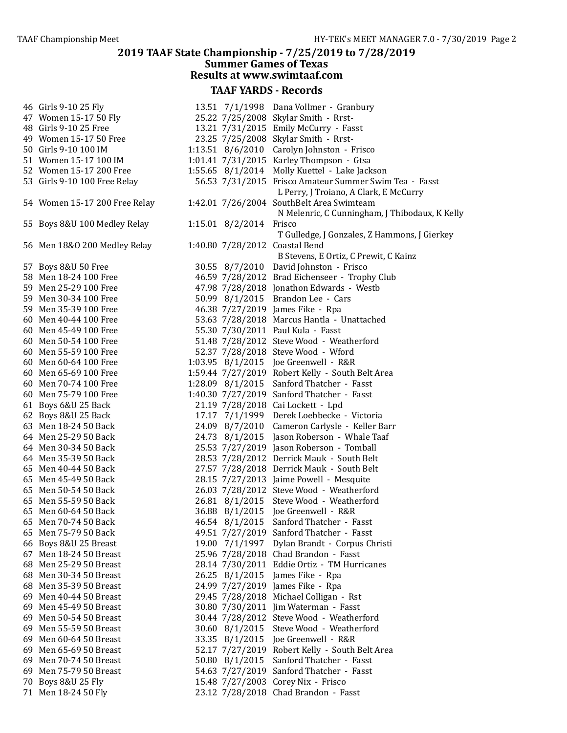#### 2019 TAAF State Championship - 7/25/2019 to 7/28/2019 **Summer Games of Texas** Results at www.swimtaaf.com TAAF YARDS - Records 46 Girls 9-10 25 Fly 13.51 7/1/1998 Dana Vollmer - Granbury 47 Women 15-17 50 Fly 25.22 7/25/2008 Skylar Smith - Rrst-<br>48 Girls 9-10 25 Free 13.21 7/31/2015 Emily McCurry - Fas 13.21 7/31/2015 Emily McCurry - Fasst 49 Women 15-17 50 Free 23.25 7/25/2008 Skylar Smith - Rrst-50 Girls 9-10 100 IM 1:13.51 8/6/2010 Carolyn Johnston - Frisco 51 Women 15-17 100 IM 1:01.41 7/31/2015 Karley Thompson - Gtsa 52 Women 15-17 200 Free 1:55.65 8/1/2014 Molly Kuettel - Lake Jackson 53 Girls 9-10 100 Free Relay 65.53 7/31/2015 Frisco Amateur Summer Swim Tea - Fasst L Perry, J Troiano, A Clark, E McCurry 54 Women 15-17 200 Free Relay 1:42.01 7/26/2004 SouthBelt Area Swimteam N Melenric, C Cunningham, J Thibodaux, K Kelly 55 Boys 8&U 100 Medley Relay 1:15.01 8/2/2014 Frisco T Gulledge, J Gonzales, Z Hammons, J Gierkey 56 Men 18&O 200 Medley Relay 1:40.80 7/28/2012 Coastal Bend B Stevens, E Ortiz, C Prewit, C Kainz 57 Boys 8&U 50 Free 30.55 8/7/2010 David Johnston - Frisco 58 Men 18-24 100 Free 46.59 7/28/2012 Brad Eichenseer - Trophy Club 59 Men 25-29 100 Free 47.98 7/28/2018 Jonathon Edwards - Westb 59 Men 30-34 100 Free 50.99 8/1/2015 Brandon Lee - Cars 59 Men 35-39 100 Free 46.38 7/27/2019 James Fike - Rpa 60 Men 40-44 100 Free 53.63 7/28/2018 Marcus Hantla - Unattached 60 Men 45-49 100 Free 55.30 7/30/2011 Paul Kula - Fasst 60 Men 50-54 100 Free 51.48 7/28/2012 Steve Wood - Weatherford 60 Men 55-59 100 Free 52.37 7/28/2018 Steve Wood - Wford 60 Men 60-64 100 Free 1:03.95 8/1/2015 Joe Greenwell - R&R 60 Men 65-69 100 Free 1:59.44 7/27/2019 Robert Kelly - South Belt Area 60 Men 70-74 100 Free 1:28.09 8/1/2015 Sanford Thatcher - Fasst 60 Men 75-79 100 Free 1:40.30 7/27/2019 Sanford Thatcher - Fasst 61 Boys 6&U 25 Back 21.19 7/28/2018 Cai Lockett - Lpd 62 Boys 8&U 25 Back 17.17 7/1/1999 Derek Loebbecke - Victoria 63 Men 18-24 50 Back 24.09 8/7/2010 Cameron Carlysle - Keller Barr 64 Men 25-29 50 Back 24.73 8/1/2015 Jason Roberson - Whale Taaf 64 Men 30-34 50 Back 25.53 7/27/2019 Jason Roberson - Tomball 64 Men 35-39 50 Back 28.53 7/28/2012 Derrick Mauk - South Belt 65 Men 40-44 50 Back 27.57 7/28/2018 Derrick Mauk - South Belt 65 Men 45-49 50 Back 28.15 7/27/2013 Jaime Powell - Mesquite 65 Men 50-54 50 Back 26.03 7/28/2012 Steve Wood - Weatherford 65 Men 55-59 50 Back 26.81 8/1/2015 Steve Wood - Weatherford 65 Men 60-64 50 Back 36.88 8/1/2015 Joe Greenwell - R&R 65 Men 70-74 50 Back 46.54 8/1/2015 Sanford Thatcher - Fasst 65 Men 75-79 50 Back 49.51 7/27/2019 Sanford Thatcher - Fasst 66 Boys 8&U 25 Breast 19.00 7/1/1997 Dylan Brandt - Corpus Christi 67 Men 18-24 50 Breast 25.96 7/28/2018 Chad Brandon - Fasst 68 Men 25-29 50 Breast 28.14 7/30/2011 Eddie Ortiz - TM Hurricanes<br>
68 Men 30-34 50 Breast 26.25 8/1/2015 James Fike - Rpa 26.25  $8/1/2015$  James Fike - Rpa 68 Men 35-39 50 Breast 24.99 7/27/2019 James Fike - Rpa 69 Men 40-44 50 Breast 29.45 7/28/2018 Michael Colligan - Rst 69 Men 45-49 50 Breast 30.80 7/30/2011 Jim Waterman - Fasst 69 Men 50-54 50 Breast 30.44 7/28/2012 Steve Wood - Weatherford 69 Men 55-59 50 Breast 30.60 8/1/2015 Steve Wood - Weatherford 69 Men 60-64 50 Breast 33.35 8/1/2015 Joe Greenwell - R&R 69 Men 65-69 50 Breast 52.17 7/27/2019 Robert Kelly - South Belt Area 69 Men 70-74 50 Breast 50.80 8/1/2015 Sanford Thatcher - Fasst 69 Men 75-79 50 Breast 54.63 7/27/2019 Sanford Thatcher - Fasst 70 Boys 8&U 25 Fly 15.48 7/27/2003 Corey Nix - Frisco 71 Men 18-24 50 Fly 23.12 7/28/2018 Chad Brandon - Fasst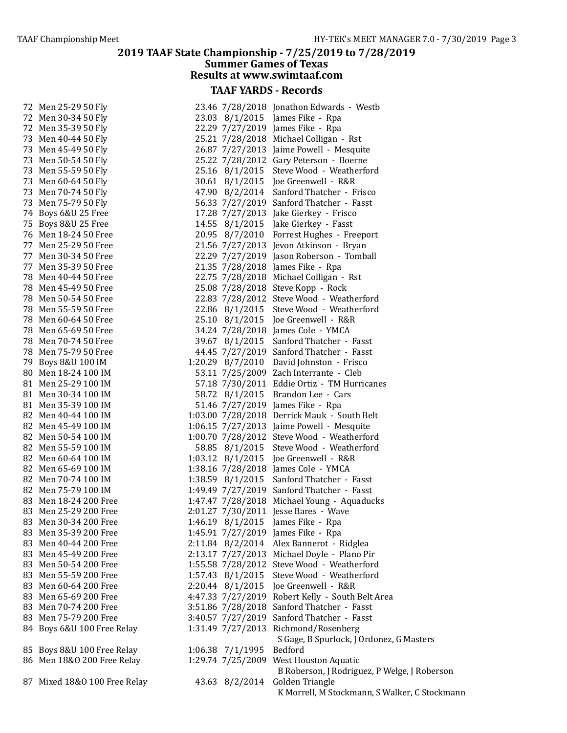| 72 Men 25-29 50 Fly                        |                   | 23.46 7/28/2018 Jonathon Edwards - Westb                                       |
|--------------------------------------------|-------------------|--------------------------------------------------------------------------------|
| 72 Men 30-34 50 Fly                        |                   | 23.03 8/1/2015 James Fike - Rpa                                                |
| 72 Men 35-39 50 Fly                        |                   | 22.29 7/27/2019 James Fike - Rpa                                               |
| 73 Men 40-44 50 Fly                        |                   | 25.21 7/28/2018 Michael Colligan - Rst                                         |
| 73 Men 45-49 50 Fly                        |                   | 26.87 7/27/2013 Jaime Powell - Mesquite                                        |
| 73 Men 50-54 50 Fly                        |                   | 25.22 7/28/2012 Gary Peterson - Boerne                                         |
| 73 Men 55-59 50 Fly                        |                   | 25.16 8/1/2015 Steve Wood - Weatherford                                        |
|                                            |                   |                                                                                |
| 73 Men 60-64 50 Fly<br>73 Men 70-74 50 Fly |                   | 30.61 8/1/2015 Joe Greenwell - R&R<br>47.90 8/2/2014 Sanford Thatcher - Frisco |
|                                            |                   |                                                                                |
| 73 Men 75-79 50 Fly                        |                   | 56.33 7/27/2019 Sanford Thatcher - Fasst                                       |
| 74 Boys 6&U 25 Free                        |                   | 17.28 7/27/2013 Jake Gierkey - Frisco                                          |
| 75 Boys 8&U 25 Free                        |                   | 14.55 8/1/2015 Jake Gierkey - Fasst                                            |
| 76 Men 18-24 50 Free                       |                   | 20.95 8/7/2010 Forrest Hughes - Freeport                                       |
| 77 Men 25-29 50 Free                       |                   | 21.56 7/27/2013 Jevon Atkinson - Bryan                                         |
| 77 Men 30-34 50 Free                       |                   | 22.29 7/27/2019 Jason Roberson - Tomball                                       |
| 77 Men 35-39 50 Free                       |                   | 21.35 7/28/2018 James Fike - Rpa                                               |
| 78 Men 40-44 50 Free                       |                   | 22.75 7/28/2018 Michael Colligan - Rst                                         |
| 78 Men 45-49 50 Free                       |                   | 25.08 7/28/2018 Steve Kopp - Rock                                              |
| 78 Men 50-54 50 Free                       |                   | 22.83 7/28/2012 Steve Wood - Weatherford                                       |
| 78 Men 55-59 50 Free                       |                   | 22.86 8/1/2015 Steve Wood - Weatherford                                        |
| 78 Men 60-64 50 Free                       |                   | 25.10 8/1/2015 Joe Greenwell - R&R                                             |
| 78 Men 65-69 50 Free                       |                   | 34.24 7/28/2018 James Cole - YMCA                                              |
| 78 Men 70-74 50 Free                       |                   | 39.67 8/1/2015 Sanford Thatcher - Fasst                                        |
| 78 Men 75-79 50 Free                       |                   | 44.45 7/27/2019 Sanford Thatcher - Fasst                                       |
| 79 Boys 8&U 100 IM                         |                   | 1:20.29 8/7/2010 David Johnston - Frisco                                       |
| 80 Men 18-24 100 IM                        |                   | 53.11 7/25/2009 Zach Interrante - Cleb                                         |
| 81 Men 25-29 100 IM                        |                   | 57.18 7/30/2011 Eddie Ortiz - TM Hurricanes                                    |
| 81 Men 30-34 100 IM                        |                   | 58.72 8/1/2015 Brandon Lee - Cars                                              |
| 81 Men 35-39 100 IM                        |                   | 51.46 7/27/2019 James Fike - Rpa                                               |
| 82 Men 40-44 100 IM                        |                   | 1:03.00 7/28/2018 Derrick Mauk - South Belt                                    |
| 82 Men 45-49 100 IM                        |                   | 1:06.15 7/27/2013 Jaime Powell - Mesquite                                      |
| 82 Men 50-54 100 IM                        |                   | 1:00.70 7/28/2012 Steve Wood - Weatherford                                     |
| 82 Men 55-59 100 IM                        |                   | 58.85 8/1/2015 Steve Wood - Weatherford                                        |
| 82 Men 60-64 100 IM                        |                   | 1:03.12 8/1/2015 Joe Greenwell - R&R                                           |
| 82 Men 65-69 100 IM                        |                   | 1:38.16 7/28/2018 James Cole - YMCA                                            |
| 82 Men 70-74 100 IM                        |                   | 1:38.59 8/1/2015 Sanford Thatcher - Fasst                                      |
| 82 Men 75-79 100 IM                        |                   | 1:49.49 7/27/2019 Sanford Thatcher - Fasst                                     |
| 83 Men 18-24 200 Free                      |                   | 1:47.47 7/28/2018 Michael Young - Aquaducks                                    |
| 83 Men 25-29 200 Free                      |                   | 2:01.27 7/30/2011 Jesse Bares - Wave                                           |
| 83 Men 30-34 200 Free                      |                   | 1:46.19 8/1/2015 James Fike - Rpa                                              |
| 83 Men 35-39 200 Free                      |                   | 1:45.91 7/27/2019 James Fike - Rpa                                             |
|                                            |                   |                                                                                |
| 83 Men 40-44 200 Free                      |                   | 2:11.84 8/2/2014 Alex Bannerot - Ridglea                                       |
| 83 Men 45-49 200 Free                      |                   | 2:13.17 7/27/2013 Michael Doyle - Plano Pir                                    |
| 83 Men 50-54 200 Free                      |                   | 1:55.58 7/28/2012 Steve Wood - Weatherford                                     |
| 83 Men 55-59 200 Free                      | 1:57.43 8/1/2015  | Steve Wood - Weatherford                                                       |
| 83 Men 60-64 200 Free                      |                   | 2:20.44 8/1/2015 Joe Greenwell - R&R                                           |
| 83 Men 65-69 200 Free                      |                   | 4:47.33 7/27/2019 Robert Kelly - South Belt Area                               |
| 83 Men 70-74 200 Free                      |                   | 3:51.86 7/28/2018 Sanford Thatcher - Fasst                                     |
| 83 Men 75-79 200 Free                      | 3:40.57 7/27/2019 | Sanford Thatcher - Fasst                                                       |
| 84 Boys 6&U 100 Free Relay                 |                   | 1:31.49 7/27/2013 Richmond/Rosenberg                                           |
|                                            |                   | S Gage, B Spurlock, J Ordonez, G Masters                                       |
| 85 Boys 8&U 100 Free Relay                 | 1:06.38 7/1/1995  | Bedford                                                                        |
| 86 Men 18&0 200 Free Relay                 |                   | 1:29.74 7/25/2009 West Houston Aquatic                                         |
|                                            |                   | B Roberson, J Rodriguez, P Welge, J Roberson                                   |
| 87 Mixed 18&0 100 Free Relay               |                   | 43.63 8/2/2014 Golden Triangle                                                 |
|                                            |                   | K Morrell, M Stockmann, S Walker, C Stockmann                                  |

|      | 3.46 7/28/2018 | Jonathon Edwards - Westb                     |
|------|----------------|----------------------------------------------|
|      | 3.03 8/1/2015  | James Fike - Rpa                             |
|      | 2.29 7/27/2019 | James Fike - Rpa                             |
|      | 5.21 7/28/2018 | Michael Colligan - Rst                       |
|      | 6.87 7/27/2013 | Jaime Powell - Mesquite                      |
|      | 5.22 7/28/2012 | Gary Peterson - Boerne                       |
|      | 5.16 8/1/2015  | Steve Wood - Weatherford                     |
|      | 0.61 8/1/2015  | Joe Greenwell - R&R                          |
|      | 7.90 8/2/2014  | Sanford Thatcher - Frisco                    |
|      | 6.33 7/27/2019 | Sanford Thatcher - Fasst                     |
|      | 7.28 7/27/2013 | Jake Gierkey - Frisco                        |
|      | 4.55 8/1/2015  | Jake Gierkey - Fasst                         |
|      | 0.95 8/7/2010  | Forrest Hughes - Freeport                    |
|      | 1.56 7/27/2013 | Jevon Atkinson - Bryan                       |
|      | 2.29 7/27/2019 | Jason Roberson - Tomball                     |
|      | 1.35 7/28/2018 | James Fike - Rpa                             |
|      | 2.75 7/28/2018 | Michael Colligan - Rst                       |
|      | 5.08 7/28/2018 | Steve Kopp - Rock                            |
|      | 2.83 7/28/2012 | Steve Wood - Weatherford                     |
|      | 2.86 8/1/2015  | Steve Wood - Weatherford                     |
|      | 5.10 8/1/2015  | Joe Greenwell - R&R                          |
|      | 4.24 7/28/2018 | James Cole - YMCA                            |
|      | 9.67 8/1/2015  | Sanford Thatcher - Fasst                     |
|      | 4.45 7/27/2019 | Sanford Thatcher - Fasst                     |
|      | 0.29 8/7/2010  | David Johnston - Frisco                      |
|      | 3.11 7/25/2009 | Zach Interrante - Cleb                       |
|      | 7.18 7/30/2011 | Eddie Ortiz - TM Hurricanes                  |
|      | 8.72 8/1/2015  | Brandon Lee - Cars                           |
|      | 1.46 7/27/2019 | James Fike - Rpa                             |
|      | 3.00 7/28/2018 | Derrick Mauk - South Belt                    |
|      | 6.15 7/27/2013 | Jaime Powell - Mesquite                      |
|      | 0.70 7/28/2012 | Steve Wood - Weatherford                     |
|      | 8.85 8/1/2015  | Steve Wood - Weatherford                     |
|      | 3.12 8/1/2015  | Joe Greenwell - R&R                          |
|      | 8.16 7/28/2018 | James Cole - YMCA                            |
|      | 8.59 8/1/2015  | Sanford Thatcher - Fasst                     |
|      | 9.49 7/27/2019 | Sanford Thatcher - Fasst                     |
|      | 7.47 7/28/2018 | Michael Young - Aquaducks                    |
|      | 1.27 7/30/2011 | Jesse Bares - Wave                           |
| 6.19 | 8/1/2015       | James Fike - Rpa                             |
| 5.91 | 7/27/2019      | James Fike - Rpa                             |
| 1.84 | 8/2/2014       | Alex Bannerot - Ridglea                      |
| 3.17 | 7/27/2013      | Michael Doyle - Plano Pir                    |
|      | 5.58 7/28/2012 | Steve Wood - Weatherford                     |
| 7.43 | 8/1/2015       | Steve Wood - Weatherford                     |
|      | 0.44 8/1/2015  | Joe Greenwell - R&R                          |
|      |                |                                              |
|      | 7.33 7/27/2019 | Robert Kelly - South Belt Area               |
|      | 1.86 7/28/2018 | Sanford Thatcher - Fasst                     |
|      | 0.57 7/27/2019 | Sanford Thatcher - Fasst                     |
|      | 1.49 7/27/2013 | Richmond/Rosenberg                           |
|      |                | S Gage, B Spurlock, J Ordonez, G Masters     |
|      | 6.38 7/1/1995  | Bedford                                      |
|      | 9.74 7/25/2009 | West Houston Aquatic                         |
|      |                | B Roberson, J Rodriguez, P Welge, J Roberson |
|      | 3.63 8/2/2014  | Golden Triangle                              |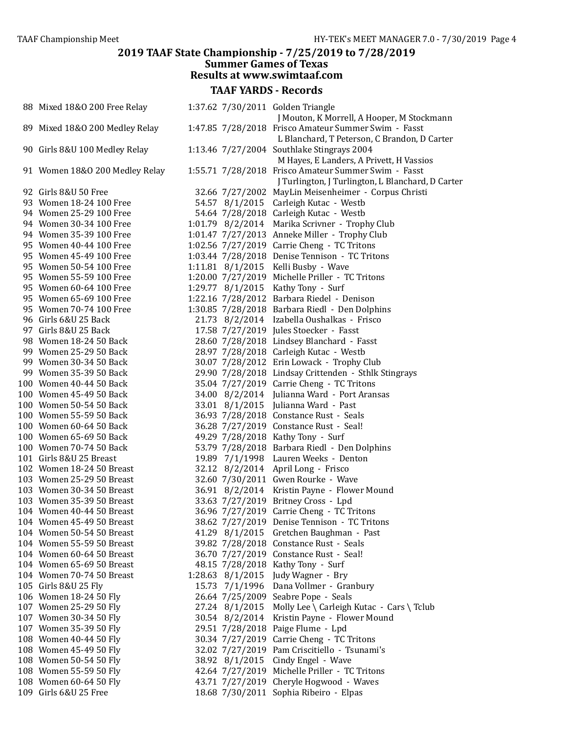#### 2019 TAAF State Championship - 7/25/2019 to 7/28/2019 **Summer Games of Texas** Results at www.swimtaaf.com TAAF YARDS - Records 88 Mixed 18&O 200 Free Relay 1:37.62 7/30/2011 Golden Triangle J Mouton, K Morrell, A Hooper, M Stockmann 89 Mixed 18&O 200 Medley Relay 1:47.85 7/28/2018 Frisco Amateur Summer Swim - Fasst L Blanchard, T Peterson, C Brandon, D Carter 90 Girls 8&U 100 Medley Relay 1:13.46 7/27/2004 Southlake Stingrays 2004 M Hayes, E Landers, A Privett, H Vassios 91 Women 18&O 200 Medley Relay 1:55.71 7/28/2018 Frisco Amateur Summer Swim - Fasst J Turlington, J Turlington, L Blanchard, D Carter 92 Girls 8&U 50 Free 32.66 7/27/2002 MayLin Meisenheimer - Corpus Christi 93 Women 18-24 100 Free 54.57 8/1/2015 Carleigh Kutac - Westb 94 Women 25-29 100 Free 54.64 7/28/2018 Carleigh Kutac - Westb 94 Women 30-34 100 Free 1:01.79 8/2/2014 Marika Scrivner - Trophy Club 94 Women 35-39 100 Free 1:01.47 7/27/2013 Anneke Miller - Trophy Club 95 Women 40-44 100 Free 1:02.56 7/27/2019 Carrie Cheng - TC Tritons 95 Women 45-49 100 Free 1:03.44 7/28/2018 Denise Tennison - TC Tritons 95 Women 50-54 100 Free 1:11.81 8/1/2015 Kelli Busby - Wave 95 Women 55-59 100 Free 1:20.00 7/27/2019 Michelle Priller - TC Tritons 95 Women 60-64 100 Free 1:29.77 8/1/2015 Kathy Tony - Surf 95 Women 65-69 100 Free 1:22.16 7/28/2012 Barbara Riedel - Denison 95 Women 70-74 100 Free 1:30.85 7/28/2018 Barbara Riedl - Den Dolphins 96 Girls 6&U 25 Back 21.73 8/2/2014 Izabella Oushalkas - Frisco 97 Girls 8&U 25 Back 17.58 7/27/2019 Jules Stoecker - Fasst 98 Women 18-24 50 Back 28.60 7/28/2018 Lindsey Blanchard - Fasst 99 Women 25-29 50 Back 28.97 7/28/2018 Carleigh Kutac - Westb<br>99 Women 30-34 50 Back 30.07 7/28/2012 Erin Lowack - Trophy  $30.07$   $7/28/2012$  Erin Lowack - Trophy Club 99 Women 35-39 50 Back 29.90 7/28/2018 Lindsay Crittenden - Sthlk Stingrays 100 Women 40-44 50 Back 35.04 7/27/2019 Carrie Cheng - TC Tritons 100 Women 45-49 50 Back 34.00 8/2/2014 Julianna Ward - Port Aransas 100 Women 50-54 50 Back 33.01 8/1/2015 Julianna Ward - Past 100 Women 55-59 50 Back 36.93 7/28/2018 Constance Rust - Seals 100 Women 60-64 50 Back 36.28 7/27/2019 Constance Rust - Seal! 100 Women 65-69 50 Back 49.29 7/28/2018 Kathy Tony - Surf 100 Women 70-74 50 Back 53.79 7/28/2018 Barbara Riedl - Den Dolphins 101 Girls 8&U 25 Breast 19.89 7/1/1998 Lauren Weeks - Denton 102 Women 18-24 50 Breast 32.12 8/2/2014 April Long - Frisco 103 Women 25-29 50 Breast 32.60 7/30/2011 Gwen Rourke - Wave 103 Women 30-34 50 Breast 36.91 8/2/2014 Kristin Payne - Flower Mound 103 Women 35-39 50 Breast 33.63 7/27/2019 Britney Cross - Lpd 104 Women 40-44 50 Breast 36.96 7/27/2019 Carrie Cheng - TC Tritons 104 Women 45-49 50 Breast 38.62 7/27/2019 Denise Tennison - TC Tritons 104 Women 50-54 50 Breast 41.29 8/1/2015 Gretchen Baughman - Past 104 Women 55-59 50 Breast 39.82 7/28/2018 Constance Rust - Seals 104 Women 60-64 50 Breast 36.70 7/27/2019 Constance Rust - Seal! 104 Women 65-69 50 Breast 48.15 7/28/2018 Kathy Tony - Surf 104 Women 70-74 50 Breast 1:28.63 8/1/2015 Judy Wagner - Bry 105 Girls 8&U 25 Fly 15.73 7/1/1996 Dana Vollmer - Granbury 106 Women 18-24 50 Fly 26.64 7/25/2009 Seabre Pope - Seals 107 Women 25-29 50 Fly 27.24  $8/1/2015$  Molly Lee \ Carleigh Kutac - Cars \ Tclub 107 Women 30-34 50 Fly 30.54 8/2/2014 Kristin Payne - Flower Mound 107 Women 35-39 50 Fly 29.51 7/28/2018 Paige Flume - Lpd 108 Women 40-44 50 Fly 30.34 7/27/2019 Carrie Cheng - TC Tritons 108 Women 45-49 50 Fly 32.02 7/27/2019 Pam Criscitiello - Tsunami's 108 Women 50-54 50 Fly 38.92 8/1/2015 Cindy Engel - Wave 108 Women 55-59 50 Fly 42.64 7/27/2019 Michelle Priller - TC Tritons 108 Women 60-64 50 Fly 43.71 7/27/2019 Cheryle Hogwood - Waves 109 Girls 6&U 25 Free 18.68 7/30/2011 Sophia Ribeiro - Elpas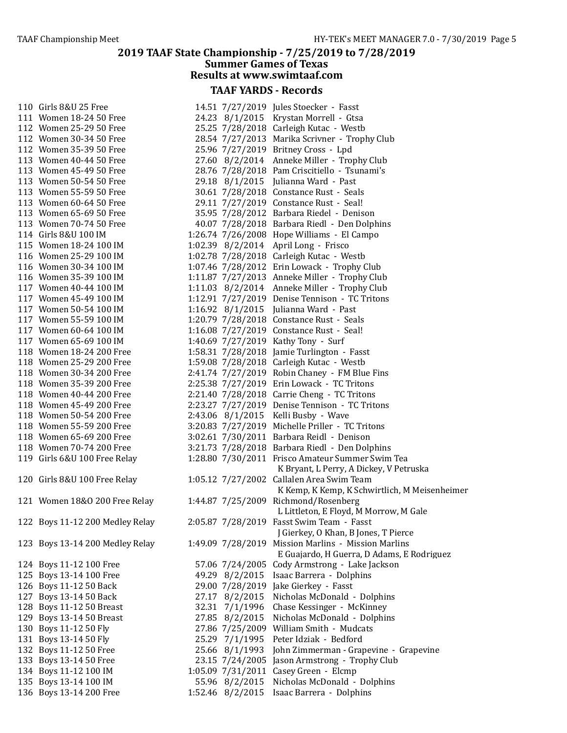| 110 | Girls 8&U 25 Free               |
|-----|---------------------------------|
| 111 | Women 18-24 50 Free             |
| 112 | <b>Women 25-29 50 Free</b>      |
| 112 | Women 30-34 50 Free             |
| 112 | Women 35-39 50 Free             |
| 113 | Women 40-44 50 Free             |
| 113 | Women 45-49 50 Free             |
| 113 | Women 50-54 50 Free             |
| 113 | Women 55-59 50 Free             |
| 113 | Women 60-64 50 Free             |
| 113 | Women 65-69 50 Free             |
| 113 |                                 |
| 114 | Women 70-74 50 Free             |
|     | Girls 8&U 100 IM                |
| 115 | Women 18-24 100 IM              |
| 116 | Women 25-29 100 IM              |
| 116 | Women 30-34 100 IM              |
| 116 | Women 35-39 100 IM              |
| 117 | Women 40-44 100 IM              |
| 117 | Women 45-49 100 IM              |
| 117 | Women 50-54 100 IM              |
| 117 | Women 55-59 100 IM              |
| 117 | Women 60-64 100 IM              |
| 117 | Women 65-69 100 IM              |
| 118 | Women 18-24 200 Free            |
| 118 | Women 25-29 200 Free            |
| 118 | Women 30-34 200 Free            |
| 118 | Women 35-39 200 Free            |
| 118 | Women 40-44 200 Free            |
| 118 | Women 45-49 200 Free            |
| 118 | Women 50-54 200 Free            |
| 118 | Women 55-59 200 Free            |
| 118 | Women 65-69 200 Free            |
| 118 | Women 70-74 200 Free            |
| 119 | Girls 6&U 100 Free Relay        |
|     |                                 |
|     | 120 Girls 8&U 100 Free Relay    |
|     | 121 Women 18&0 200 Free Re      |
|     |                                 |
| 122 | <b>Boys 11-12 200 Medley Re</b> |
| 123 | <b>Boys 13-14 200 Medley Re</b> |
| 124 | Boys 11-12 100 Free             |
| 125 | Boys 13-14 100 Free             |
| 126 | Boys 11-12 50 Back              |
| 127 | Boys 13-14 50 Back              |
| 128 | <b>Boys 11-12 50 Breast</b>     |
| 129 | <b>Boys 13-14 50 Breast</b>     |
|     | Boys 11-12 50 Fly               |
| 130 | Boys 13-14 50 Fly               |
| 131 |                                 |
| 132 | Boys 11-12 50 Free              |
| 133 | Boys 13-14 50 Free              |
| 134 | Boys 11-12 100 IM               |
| 135 | Boys 13-14 100 IM               |
| 136 | Boys 13-14 200 Free             |

| 110 Girls 8&U 25 Free           |                  | 14.51 7/27/2019 Jules Stoecker - Fasst              |
|---------------------------------|------------------|-----------------------------------------------------|
| 111 Women 18-24 50 Free         |                  | 24.23 8/1/2015 Krystan Morrell - Gtsa               |
| 112 Women 25-29 50 Free         |                  | 25.25 7/28/2018 Carleigh Kutac - Westb              |
| 112 Women 30-34 50 Free         |                  | 28.54 7/27/2013 Marika Scrivner - Trophy Club       |
| 112 Women 35-39 50 Free         |                  | 25.96 7/27/2019 Britney Cross - Lpd                 |
| 113 Women 40-44 50 Free         |                  | 27.60 8/2/2014 Anneke Miller - Trophy Club          |
| 113 Women 45-49 50 Free         |                  | 28.76 7/28/2018 Pam Criscitiello - Tsunami's        |
| 113 Women 50-54 50 Free         |                  | 29.18 8/1/2015 Julianna Ward - Past                 |
| 113 Women 55-59 50 Free         |                  | 30.61 7/28/2018 Constance Rust - Seals              |
| 113 Women 60-64 50 Free         |                  | 29.11 7/27/2019 Constance Rust - Seal!              |
| 113 Women 65-69 50 Free         |                  | 35.95 7/28/2012 Barbara Riedel - Denison            |
| 113 Women 70-74 50 Free         |                  | 40.07 7/28/2018 Barbara Riedl - Den Dolphins        |
| 114 Girls 8&U 100 IM            |                  | 1:26.74 7/26/2008 Hope Williams - El Campo          |
| 115 Women 18-24 100 IM          |                  | 1:02.39 8/2/2014 April Long - Frisco                |
| 116 Women 25-29 100 IM          |                  | 1:02.78 7/28/2018 Carleigh Kutac - Westb            |
| 116 Women 30-34 100 IM          |                  | 1:07.46 7/28/2012 Erin Lowack - Trophy Club         |
| 116 Women 35-39 100 IM          |                  | 1:11.87 7/27/2013 Anneke Miller - Trophy Club       |
| 117 Women 40-44 100 IM          |                  | 1:11.03 8/2/2014 Anneke Miller - Trophy Club        |
| 117 Women 45-49 100 IM          |                  | 1:12.91 7/27/2019 Denise Tennison - TC Tritons      |
| 117 Women 50-54 100 IM          |                  | 1:16.92 8/1/2015 Julianna Ward - Past               |
| 117 Women 55-59 100 IM          |                  | 1:20.79 7/28/2018 Constance Rust - Seals            |
| 117 Women 60-64 100 IM          |                  | 1:16.08 7/27/2019 Constance Rust - Seal!            |
| 117 Women 65-69 100 IM          |                  | 1:40.69 7/27/2019 Kathy Tony - Surf                 |
| 118 Women 18-24 200 Free        |                  | 1:58.31 7/28/2018 Jamie Turlington - Fasst          |
| 118 Women 25-29 200 Free        |                  | 1:59.08 7/28/2018 Carleigh Kutac - Westb            |
| 118 Women 30-34 200 Free        |                  | 2:41.74 7/27/2019 Robin Chaney - FM Blue Fins       |
| 118 Women 35-39 200 Free        |                  | 2:25.38 7/27/2019 Erin Lowack - TC Tritons          |
| 118 Women 40-44 200 Free        |                  | 2:21.40 7/28/2018 Carrie Cheng - TC Tritons         |
| 118 Women 45-49 200 Free        |                  | 2:23.27 7/27/2019 Denise Tennison - TC Tritons      |
| 118 Women 50-54 200 Free        |                  | 2:43.06 8/1/2015 Kelli Busby - Wave                 |
| 118 Women 55-59 200 Free        |                  | 3:20.83 7/27/2019 Michelle Priller - TC Tritons     |
| 118 Women 65-69 200 Free        |                  | 3:02.61 7/30/2011 Barbara Reidl - Denison           |
| 118 Women 70-74 200 Free        |                  | 3:21.73 7/28/2018 Barbara Riedl - Den Dolphins      |
| 119 Girls 6&U 100 Free Relay    |                  | 1:28.80 7/30/2011 Frisco Amateur Summer Swim Tea    |
|                                 |                  | K Bryant, L Perry, A Dickey, V Petruska             |
| 120 Girls 8&U 100 Free Relay    |                  | 1:05.12 7/27/2002 Callalen Area Swim Team           |
|                                 |                  | K Kemp, K Kemp, K Schwirtlich, M Meisenheimer       |
| 121 Women 18&0 200 Free Relay   |                  | 1:44.87 7/25/2009 Richmond/Rosenberg                |
|                                 |                  | L Littleton, E Floyd, M Morrow, M Gale              |
| 122 Boys 11-12 200 Medley Relay |                  | 2:05.87 7/28/2019 Fasst Swim Team - Fasst           |
|                                 |                  | J Gierkey, O Khan, B Jones, T Pierce                |
| 123 Boys 13-14 200 Medley Relay |                  | 1:49.09 7/28/2019 Mission Marlins - Mission Marlins |
|                                 |                  | E Guajardo, H Guerra, D Adams, E Rodriguez          |
| 124 Boys 11-12 100 Free         |                  | 57.06 7/24/2005 Cody Armstrong - Lake Jackson       |
| 125 Boys 13-14 100 Free         | 49.29 8/2/2015   | Isaac Barrera - Dolphins                            |
| 126 Boys 11-12 50 Back          |                  | 29.00 7/28/2019 Jake Gierkey - Fasst                |
| 127 Boys 13-14 50 Back          | 27.17 8/2/2015   | Nicholas McDonald - Dolphins                        |
| 128 Boys 11-12 50 Breast        | 32.31 7/1/1996   | Chase Kessinger - McKinney                          |
| 129 Boys 13-14 50 Breast        | 27.85 8/2/2015   | Nicholas McDonald - Dolphins                        |
| 130 Boys 11-12 50 Fly           |                  | 27.86 7/25/2009 William Smith - Mudcats             |
| 131 Boys 13-14 50 Fly           | 25.29 7/1/1995   | Peter Idziak - Bedford                              |
| 132 Boys 11-12 50 Free          | 25.66 8/1/1993   | John Zimmerman - Grapevine - Grapevine              |
| 133 Boys 13-14 50 Free          | 23.15 7/24/2005  | Jason Armstrong - Trophy Club                       |
| 134 Boys 11-12 100 IM           |                  | 1:05.09 7/31/2011 Casey Green - Elcmp               |
| 135 Boys 13-14 100 IM           | 55.96 8/2/2015   | Nicholas McDonald - Dolphins                        |
| 136 Boys 13-14 200 Free         | 1:52.46 8/2/2015 | Isaac Barrera - Dolphins                            |
|                                 |                  |                                                     |